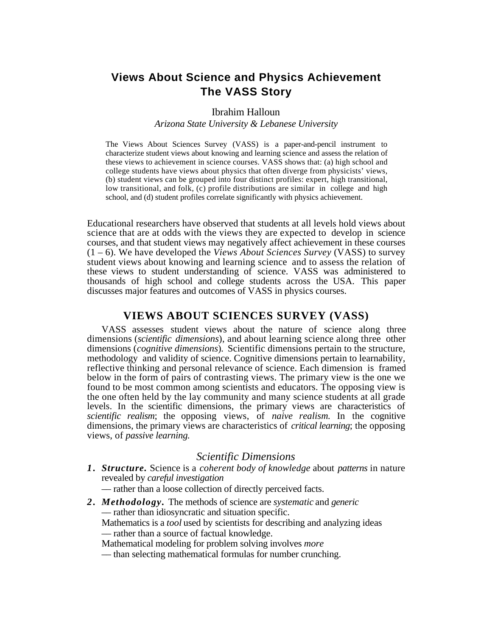# **Views About Science and Physics Achievement The VASS Story**

#### Ibrahim Halloun

*Arizona State University & Lebanese University*

The Views About Sciences Survey (VASS) is a paper-and-pencil instrument to characterize student views about knowing and learning science and assess the relation of these views to achievement in science courses. VASS shows that: (a) high school and college students have views about physics that often diverge from physicists' views, (b) student views can be grouped into four distinct profiles: expert, high transitional, low transitional, and folk, (c) profile distributions are similar in college and high school, and (d) student profiles correlate significantly with physics achievement.

Educational researchers have observed that students at all levels hold views about science that are at odds with the views they are expected to develop in science courses, and that student views may negatively affect achievement in these courses (1 – 6). We have developed the *Views About Sciences Survey* (VASS) to survey student views about knowing and learning science and to assess the relation of these views to student understanding of science. VASS was administered to thousands of high school and college students across the USA. This paper discusses major features and outcomes of VASS in physics courses.

#### **VIEWS ABOUT SCIENCES SURVEY (VASS)**

VASS assesses student views about the nature of science along three dimensions (*scientific dimensions*), and about learning science along three other dimensions (*cognitive dimensions*)*.* Scientific dimensions pertain to the structure, methodology and validity of science. Cognitive dimensions pertain to learnability, reflective thinking and personal relevance of science. Each dimension is framed below in the form of pairs of contrasting views. The primary view is the one we found to be most common among scientists and educators. The opposing view is the one often held by the lay community and many science students at all grade levels. In the scientific dimensions, the primary views are characteristics of *scientific realism*; the opposing views, of *naive realism.* In the cognitive dimensions, the primary views are characteristics of *critical learning*; the opposing views, of *passive learning.*

### *Scientific Dimensions*

- *1 . Structure.* Science is a *coherent body of knowledge* about *patterns* in nature revealed by *careful investigation*
	- –– rather than a loose collection of directly perceived facts.
- *2 . Methodology.* The methods of science are *systematic* and *generic* –– rather than idiosyncratic and situation specific. Mathematics is a *tool* used by scientists for describing and analyzing ideas –– rather than a source of factual knowledge. Mathematical modeling for problem solving involves *more*
	- –– than selecting mathematical formulas for number crunching.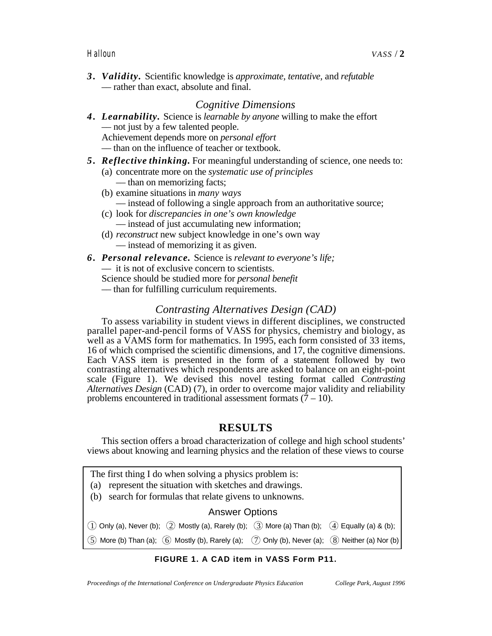*3 . Validity.* Scientific knowledge is *approximate, tentative,* and *refutable* –– rather than exact, absolute and final.

### *Cognitive Dimensions*

*4 . Learnability.* Science is *learnable by anyone* willing to make the effort –– not just by a few talented people. Achievement depends more on *personal effort* –– than on the influence of teacher or textbook.

#### *5 . Reflective thinking.* For meaningful understanding of science, one needs to:

- (a) concentrate more on the *systematic use of principles* –– than on memorizing facts;
- (b) examine situations in *many ways* –– instead of following a single approach from an authoritative source;
- (c) look for *discrepancies in one's own knowledge* –– instead of just accumulating new information;
- (d) *reconstruct* new subject knowledge in one's own way –– instead of memorizing it as given.
- *6 . Personal relevance.* Science is *relevant to everyone's life;*

–– it is not of exclusive concern to scientists.

Science should be studied more for *personal benefit*

–– than for fulfilling curriculum requirements.

## *Contrasting Alternatives Design (CAD)*

To assess variability in student views in different disciplines, we constructed parallel paper-and-pencil forms of VASS for physics, chemistry and biology, as well as a VAMS form for mathematics. In 1995, each form consisted of 33 items, 16 of which comprised the scientific dimensions, and 17, the cognitive dimensions. Each VASS item is presented in the form of a statement followed by two contrasting alternatives which respondents are asked to balance on an eight-point scale (Figure 1). We devised this novel testing format called *Contrasting Alternatives Design* (CAD) (7), in order to overcome major validity and reliability problems encountered in traditional assessment formats  $(7 - 10)$ .

## **RESULTS**

This section offers a broad characterization of college and high school students' views about knowing and learning physics and the relation of these views to course

- The first thing I do when solving a physics problem is:
- (a) represent the situation with sketches and drawings.
- (b) search for formulas that relate givens to unknowns.

#### Answer Options

 $(1)$  Only (a), Never (b);  $(2)$  Mostly (a), Rarely (b);  $(3)$  More (a) Than (b);  $(4)$  Equally (a) & (b);  $5)$  More (b) Than (a);  $(6)$  Mostly (b), Rarely (a);  $(7)$  Only (b), Never (a);  $(8)$  Neither (a) Nor (b)

#### **FIGURE 1. A CAD item in VASS Form P11.**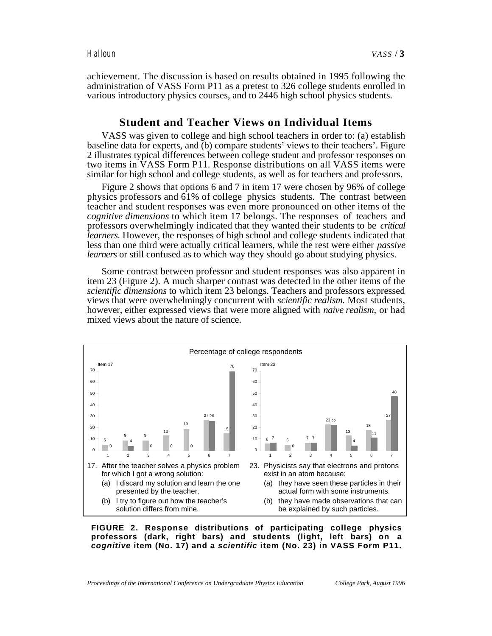achievement. The discussion is based on results obtained in 1995 following the administration of VASS Form P11 as a pretest to 326 college students enrolled in various introductory physics courses, and to 2446 high school physics students.

#### **Student and Teacher Views on Individual Items**

VASS was given to college and high school teachers in order to: (a) establish baseline data for experts, and (b) compare students' views to their teachers'. Figure 2 illustrates typical differences between college student and professor responses on two items in VASS Form P11. Response distributions on all VASS items were similar for high school and college students, as well as for teachers and professors.

Figure 2 shows that options 6 and 7 in item 17 were chosen by 96% of college physics professors and 61% of college physics students. The contrast between teacher and student responses was even more pronounced on other items of the *cognitive dimensions* to which item 17 belongs. The responses of teachers and professors overwhelmingly indicated that they wanted their students to be *critical learners.* However, the responses of high school and college students indicated that less than one third were actually critical learners, while the rest were either *passive learners* or still confused as to which way they should go about studying physics.

Some contrast between professor and student responses was also apparent in item 23 (Figure 2). A much sharper contrast was detected in the other items of the *scientific dimensions* to which item 23 belongs. Teachers and professors expressed views that were overwhelmingly concurrent with *scientific realism.* Most students, however, either expressed views that were more aligned with *naive realism*, or had mixed views about the nature of science.



**FIGURE 2. Response distributions of participating college physics professors (dark, right bars) and students (light, left bars) on a cognitive item (No. 17) and a scientific item (No. 23) in VASS Form P11.**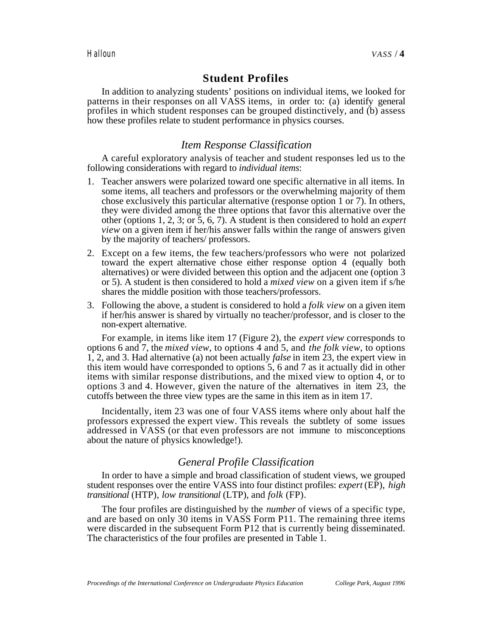### **Student Profiles**

In addition to analyzing students' positions on individual items, we looked for patterns in their responses on all VASS items, in order to: (a) identify general profiles in which student responses can be grouped distinctively, and (b) assess how these profiles relate to student performance in physics courses.

#### *Item Response Classification*

A careful exploratory analysis of teacher and student responses led us to the following considerations with regard to *individual items*:

- 1. Teacher answers were polarized toward one specific alternative in all items. In some items, all teachers and professors or the overwhelming majority of them chose exclusively this particular alternative (response option 1 or 7). In others, they were divided among the three options that favor this alternative over the other (options 1, 2, 3; or 5, 6, 7). A student is then considered to hold an *expert view* on a given item if her/his answer falls within the range of answers given by the majority of teachers/ professors.
- 2. Except on a few items, the few teachers/professors who were not polarized toward the expert alternative chose either response option 4 (equally both alternatives) or were divided between this option and the adjacent one (option 3 or 5). A student is then considered to hold a *mixed view* on a given item if s/he shares the middle position with those teachers/professors.
- 3. Following the above, a student is considered to hold a *folk view* on a given item if her/his answer is shared by virtually no teacher/professor, and is closer to the non-expert alternative.

For example, in items like item 17 (Figure 2), the *expert view* corresponds to options 6 and 7, the *mixed view*, to options 4 and 5, and *the folk view*, to options 1, 2, and 3. Had alternative (a) not been actually *false* in item 23, the expert view in this item would have corresponded to options 5, 6 and 7 as it actually did in other items with similar response distributions, and the mixed view to option 4, or to options 3 and 4. However, given the nature of the alternatives in item 23, the cutoffs between the three view types are the same in this item as in item 17.

Incidentally, item 23 was one of four VASS items where only about half the professors expressed the expert view. This reveals the subtlety of some issues addressed in VASS (or that even professors are not immune to misconceptions about the nature of physics knowledge!).

#### *General Profile Classification*

In order to have a simple and broad classification of student views, we grouped student responses over the entire VASS into four distinct profiles: *expert* (EP), *high transitional* (HTP), *low transitional* (LTP), and *folk* (FP).

The four profiles are distinguished by the *number* of views of a specific type, and are based on only 30 items in VASS Form P11. The remaining three items were discarded in the subsequent Form P12 that is currently being disseminated. The characteristics of the four profiles are presented in Table 1.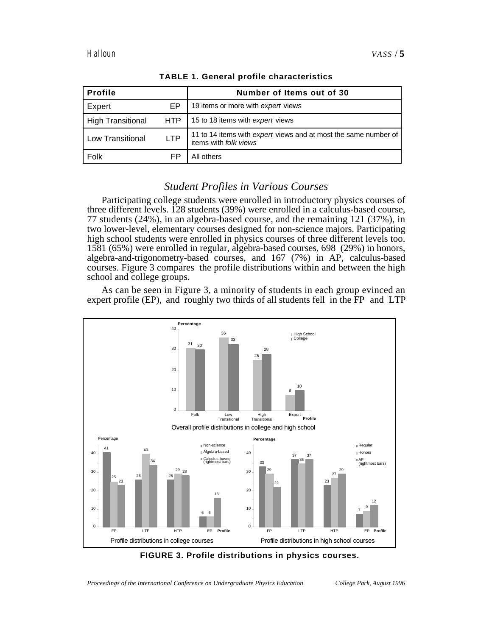| <b>Profile</b>    |            | Number of Items out of 30                                                                |
|-------------------|------------|------------------------------------------------------------------------------------------|
| Expert            | EP         | 19 items or more with expert views                                                       |
| High Transitional | <b>HTP</b> | 15 to 18 items with expert views                                                         |
| Low Transitional  | <b>LTP</b> | 11 to 14 items with expert views and at most the same number of<br>items with folk views |
| Folk              | FP         | All others                                                                               |

**TABLE 1. General profile characteristics**

## *Student Profiles in Various Courses*

Participating college students were enrolled in introductory physics courses of three different levels. 128 students (39%) were enrolled in a calculus-based course, 77 students (24%), in an algebra-based course, and the remaining 121 (37%), in two lower-level, elementary courses designed for non-science majors. Participating high school students were enrolled in physics courses of three different levels too. 1581 (65%) were enrolled in regular, algebra-based courses, 698 (29%) in honors, algebra-and-trigonometry-based courses, and 167 (7%) in AP, calculus-based courses. Figure 3 compares the profile distributions within and between the high school and college groups.

As can be seen in Figure 3, a minority of students in each group evinced an expert profile (EP), and roughly two thirds of all students fell in the FP and LTP



**FIGURE 3. Profile distributions in physics courses.**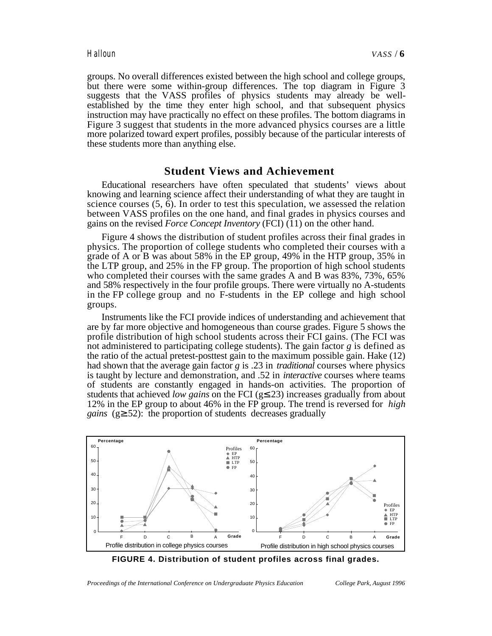groups. No overall differences existed between the high school and college groups, but there were some within-group differences. The top diagram in Figure 3 suggests that the VASS profiles of physics students may already be wellestablished by the time they enter high school, and that subsequent physics instruction may have practically no effect on these profiles. The bottom diagrams in Figure 3 suggest that students in the more advanced physics courses are a little more polarized toward expert profiles, possibly because of the particular interests of these students more than anything else.

#### **Student Views and Achievement**

Educational researchers have often speculated that students' views about knowing and learning science affect their understanding of what they are taught in science courses (5, 6). In order to test this speculation, we assessed the relation between VASS profiles on the one hand, and final grades in physics courses and gains on the revised *Force Concept Inventory* (FCI) (11) on the other hand.

Figure 4 shows the distribution of student profiles across their final grades in physics. The proportion of college students who completed their courses with a grade of A or B was about 58% in the EP group, 49% in the HTP group, 35% in the LTP group, and 25% in the FP group. The proportion of high school students who completed their courses with the same grades A and B was 83%, 73%, 65% and 58% respectively in the four profile groups. There were virtually no A-students in the FP college group and no F-students in the EP college and high school groups.

Instruments like the FCI provide indices of understanding and achievement that are by far more objective and homogeneous than course grades. Figure 5 shows the profile distribution of high school students across their FCI gains. (The FCI was not administered to participating college students). The gain factor  $g$  is defined as the ratio of the actual pretest-posttest gain to the maximum possible gain. Hake (12) had shown that the average gain factor *g* is .23 in *traditional* courses where physics is taught by lecture and demonstration, and .52 in *interactive* courses where teams of students are constantly engaged in hands-on activities. The proportion of students that achieved *low gains* on the FCI (g .23) increases gradually from about 12% in the EP group to about 46% in the FP group. The trend is reversed for *high gains* (g .52): the proportion of students decreases gradually



**FIGURE 4. Distribution of student profiles across final grades.**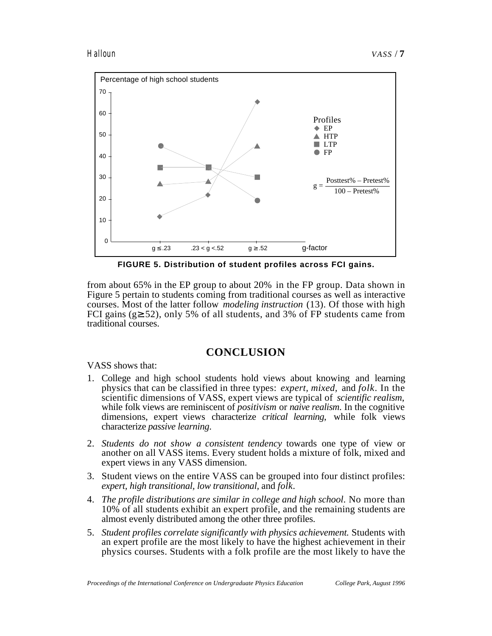

**FIGURE 5. Distribution of student profiles across FCI gains.**

from about 65% in the EP group to about 20% in the FP group. Data shown in Figure 5 pertain to students coming from traditional courses as well as interactive courses. Most of the latter follow *modeling instruction* (13). Of those with high FCI gains (g .52), only 5% of all students, and 3% of FP students came from traditional courses.

## **CONCLUSION**

VASS shows that:

- 1. College and high school students hold views about knowing and learning physics that can be classified in three types: *expert, mixed,* and *folk*. In the scientific dimensions of VASS, expert views are typical of *scientific realism*, while folk views are reminiscent of *positivism* or *naive realism*. In the cognitive dimensions, expert views characterize *critical learning*, while folk views characterize *passive learning*.
- 2. *Students do not show a consistent tendency* towards one type of view or another on all VASS items. Every student holds a mixture of folk, mixed and expert views in any VASS dimension.
- 3. Student views on the entire VASS can be grouped into four distinct profiles: *expert, high transitional, low transitional,* and *folk*.
- 4. *The profile distributions are similar in college and high school*. No more than 10% of all students exhibit an expert profile, and the remaining students are almost evenly distributed among the other three profiles.
- 5. *Student profiles correlate significantly with physics achievement.* Students with an expert profile are the most likely to have the highest achievement in their physics courses. Students with a folk profile are the most likely to have the